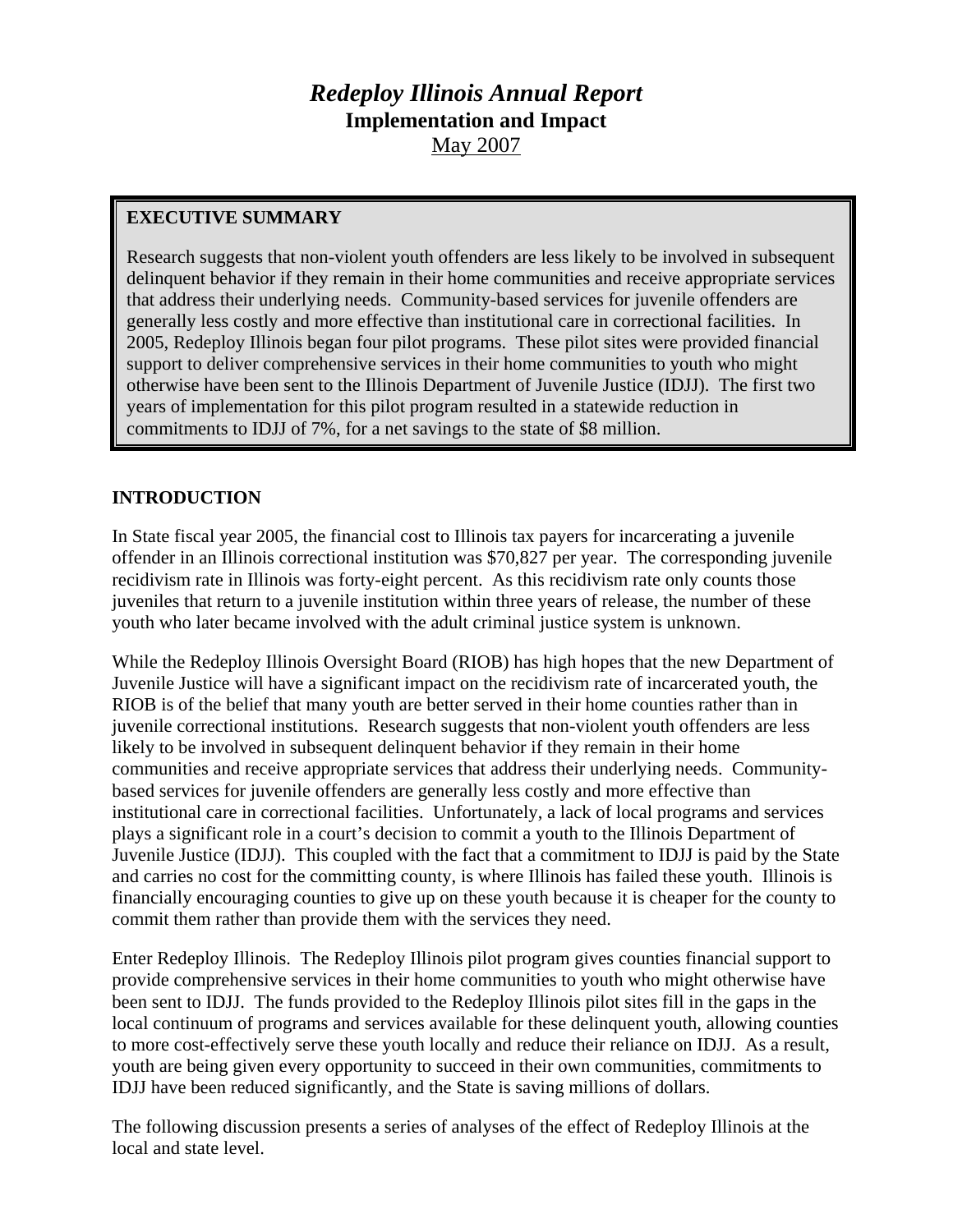# *Redeploy Illinois Annual Report*  **Implementation and Impact**  May 2007

# **EXECUTIVE SUMMARY**

Research suggests that non-violent youth offenders are less likely to be involved in subsequent delinquent behavior if they remain in their home communities and receive appropriate services that address their underlying needs. Community-based services for juvenile offenders are generally less costly and more effective than institutional care in correctional facilities. In 2005, Redeploy Illinois began four pilot programs. These pilot sites were provided financial support to deliver comprehensive services in their home communities to youth who might otherwise have been sent to the Illinois Department of Juvenile Justice (IDJJ). The first two years of implementation for this pilot program resulted in a statewide reduction in commitments to IDJJ of 7%, for a net savings to the state of \$8 million.

# **INTRODUCTION**

In State fiscal year 2005, the financial cost to Illinois tax payers for incarcerating a juvenile offender in an Illinois correctional institution was \$70,827 per year. The corresponding juvenile recidivism rate in Illinois was forty-eight percent. As this recidivism rate only counts those juveniles that return to a juvenile institution within three years of release, the number of these youth who later became involved with the adult criminal justice system is unknown.

While the Redeploy Illinois Oversight Board (RIOB) has high hopes that the new Department of Juvenile Justice will have a significant impact on the recidivism rate of incarcerated youth, the RIOB is of the belief that many youth are better served in their home counties rather than in juvenile correctional institutions. Research suggests that non-violent youth offenders are less likely to be involved in subsequent delinquent behavior if they remain in their home communities and receive appropriate services that address their underlying needs. Communitybased services for juvenile offenders are generally less costly and more effective than institutional care in correctional facilities. Unfortunately, a lack of local programs and services plays a significant role in a court's decision to commit a youth to the Illinois Department of Juvenile Justice (IDJJ). This coupled with the fact that a commitment to IDJJ is paid by the State and carries no cost for the committing county, is where Illinois has failed these youth. Illinois is financially encouraging counties to give up on these youth because it is cheaper for the county to commit them rather than provide them with the services they need.

Enter Redeploy Illinois. The Redeploy Illinois pilot program gives counties financial support to provide comprehensive services in their home communities to youth who might otherwise have been sent to IDJJ. The funds provided to the Redeploy Illinois pilot sites fill in the gaps in the local continuum of programs and services available for these delinquent youth, allowing counties to more cost-effectively serve these youth locally and reduce their reliance on IDJJ. As a result, youth are being given every opportunity to succeed in their own communities, commitments to IDJJ have been reduced significantly, and the State is saving millions of dollars.

The following discussion presents a series of analyses of the effect of Redeploy Illinois at the local and state level.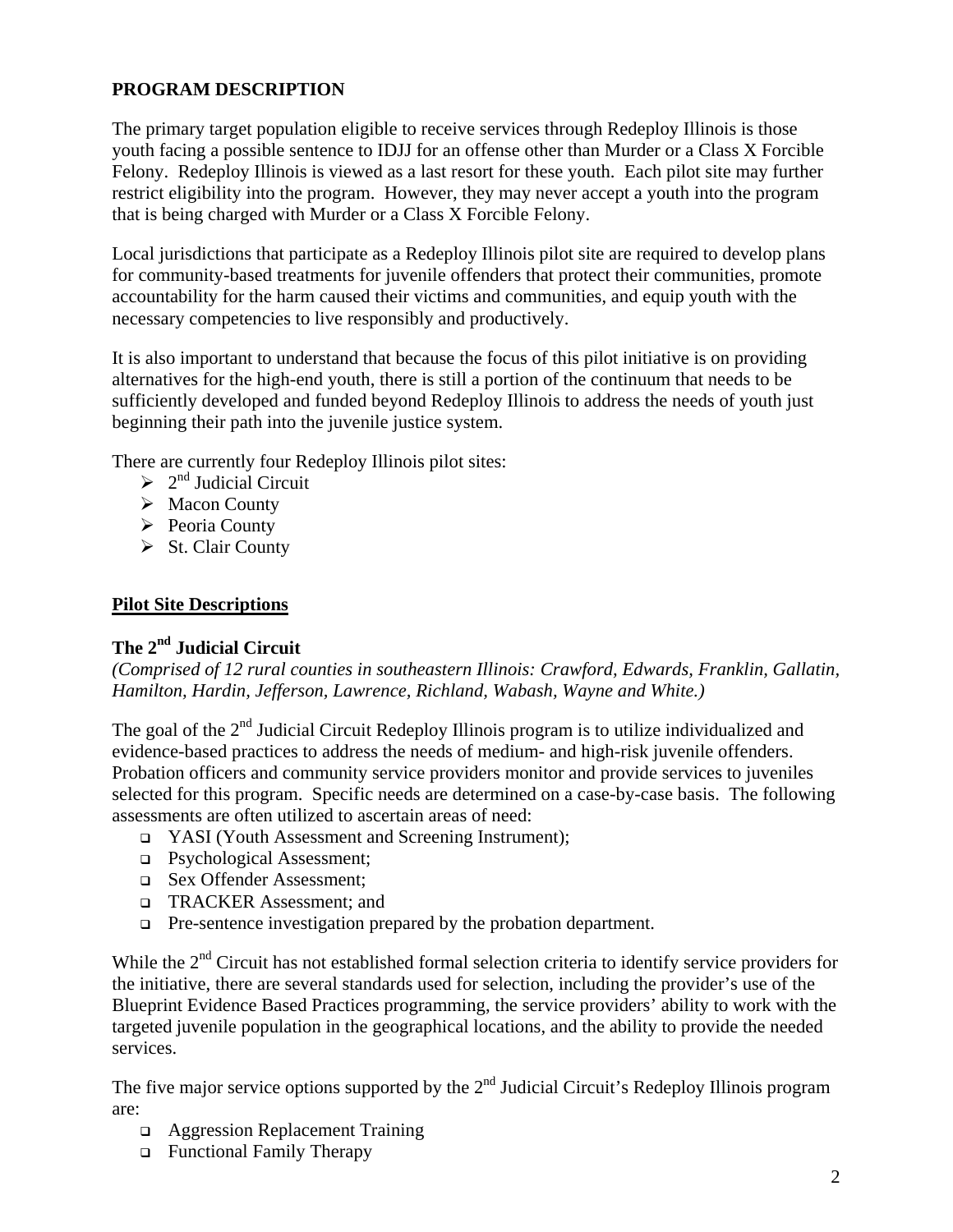# **PROGRAM DESCRIPTION**

The primary target population eligible to receive services through Redeploy Illinois is those youth facing a possible sentence to IDJJ for an offense other than Murder or a Class X Forcible Felony. Redeploy Illinois is viewed as a last resort for these youth. Each pilot site may further restrict eligibility into the program. However, they may never accept a youth into the program that is being charged with Murder or a Class X Forcible Felony.

Local jurisdictions that participate as a Redeploy Illinois pilot site are required to develop plans for community-based treatments for juvenile offenders that protect their communities, promote accountability for the harm caused their victims and communities, and equip youth with the necessary competencies to live responsibly and productively.

It is also important to understand that because the focus of this pilot initiative is on providing alternatives for the high-end youth, there is still a portion of the continuum that needs to be sufficiently developed and funded beyond Redeploy Illinois to address the needs of youth just beginning their path into the juvenile justice system.

There are currently four Redeploy Illinois pilot sites:

- $\geq 2^{nd}$  Judicial Circuit
- $\triangleright$  Macon County
- $\triangleright$  Peoria County
- $\triangleright$  St. Clair County

#### **Pilot Site Descriptions**

# **The 2nd Judicial Circuit**

*(Comprised of 12 rural counties in southeastern Illinois: Crawford, Edwards, Franklin, Gallatin, Hamilton, Hardin, Jefferson, Lawrence, Richland, Wabash, Wayne and White.)* 

The goal of the 2<sup>nd</sup> Judicial Circuit Redeploy Illinois program is to utilize individualized and evidence-based practices to address the needs of medium- and high-risk juvenile offenders. Probation officers and community service providers monitor and provide services to juveniles selected for this program. Specific needs are determined on a case-by-case basis. The following assessments are often utilized to ascertain areas of need:

- YASI (Youth Assessment and Screening Instrument);
- □ Psychological Assessment;
- Sex Offender Assessment;
- □ TRACKER Assessment: and
- **Pre-sentence investigation prepared by the probation department.**

While the 2<sup>nd</sup> Circuit has not established formal selection criteria to identify service providers for the initiative, there are several standards used for selection, including the provider's use of the Blueprint Evidence Based Practices programming, the service providers' ability to work with the targeted juvenile population in the geographical locations, and the ability to provide the needed services.

The five major service options supported by the  $2<sup>nd</sup>$  Judicial Circuit's Redeploy Illinois program are:

- Aggression Replacement Training
- Functional Family Therapy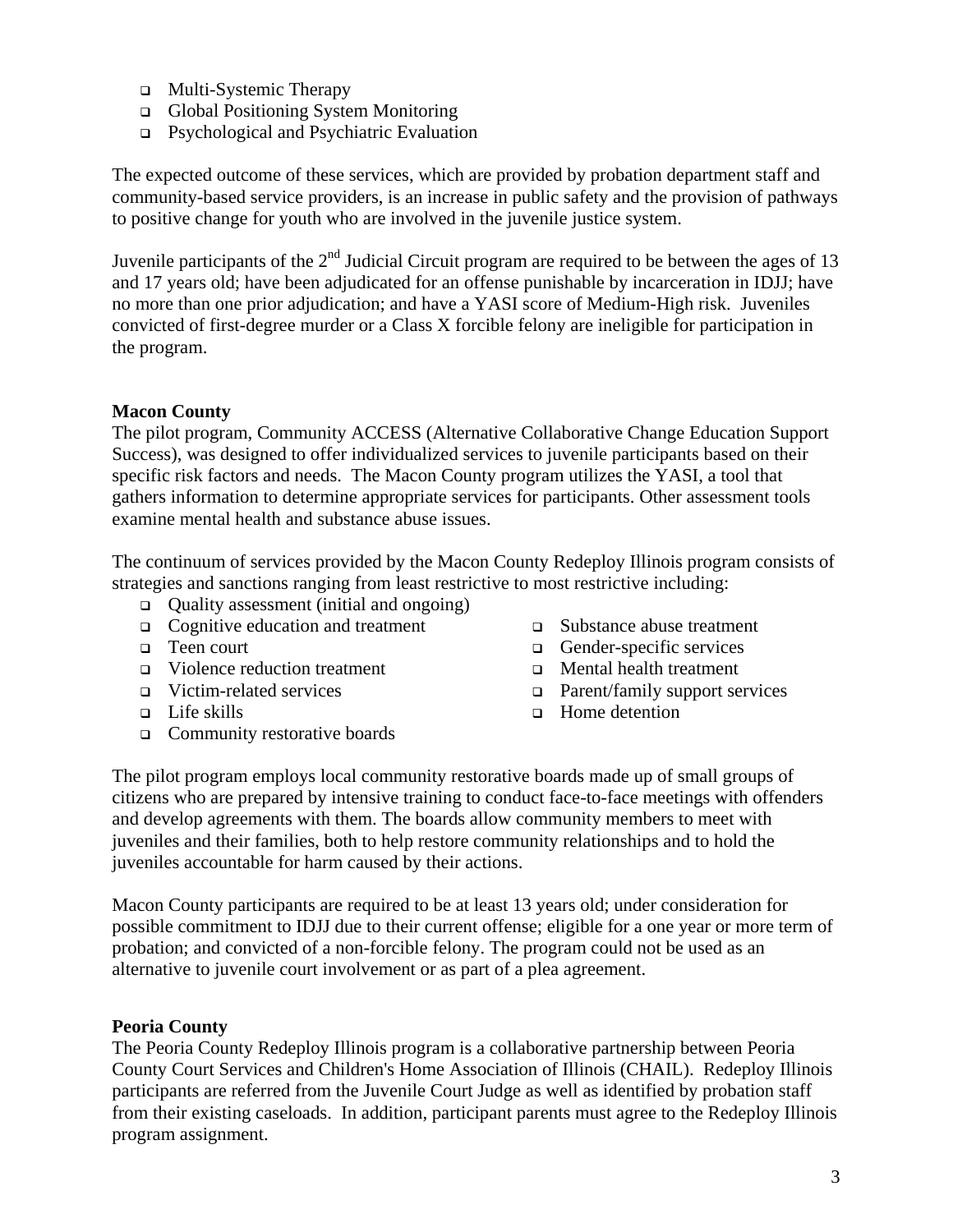- Multi-Systemic Therapy
- Global Positioning System Monitoring
- Psychological and Psychiatric Evaluation

The expected outcome of these services, which are provided by probation department staff and community-based service providers, is an increase in public safety and the provision of pathways to positive change for youth who are involved in the juvenile justice system.

Juvenile participants of the  $2<sup>nd</sup>$  Judicial Circuit program are required to be between the ages of 13 and 17 years old; have been adjudicated for an offense punishable by incarceration in IDJJ; have no more than one prior adjudication; and have a YASI score of Medium-High risk. Juveniles convicted of first-degree murder or a Class X forcible felony are ineligible for participation in the program.

#### **Macon County**

The pilot program, Community ACCESS (Alternative Collaborative Change Education Support Success), was designed to offer individualized services to juvenile participants based on their specific risk factors and needs. The Macon County program utilizes the YASI, a tool that gathers information to determine appropriate services for participants. Other assessment tools examine mental health and substance abuse issues.

The continuum of services provided by the Macon County Redeploy Illinois program consists of strategies and sanctions ranging from least restrictive to most restrictive including:

- Quality assessment (initial and ongoing)
- □ Cognitive education and treatment
- **D** Teen court
- Violence reduction treatment
- Victim-related services
- $\Box$  Life skills
- Community restorative boards
- Substance abuse treatment
- Gender-specific services
- **D** Mental health treatment
- □ Parent/family support services
- □ Home detention

The pilot program employs local community restorative boards made up of small groups of citizens who are prepared by intensive training to conduct face-to-face meetings with offenders and develop agreements with them. The boards allow community members to meet with juveniles and their families, both to help restore community relationships and to hold the juveniles accountable for harm caused by their actions.

Macon County participants are required to be at least 13 years old; under consideration for possible commitment to IDJJ due to their current offense; eligible for a one year or more term of probation; and convicted of a non-forcible felony. The program could not be used as an alternative to juvenile court involvement or as part of a plea agreement.

#### **Peoria County**

The Peoria County Redeploy Illinois program is a collaborative partnership between Peoria County Court Services and Children's Home Association of Illinois (CHAIL). Redeploy Illinois participants are referred from the Juvenile Court Judge as well as identified by probation staff from their existing caseloads. In addition, participant parents must agree to the Redeploy Illinois program assignment.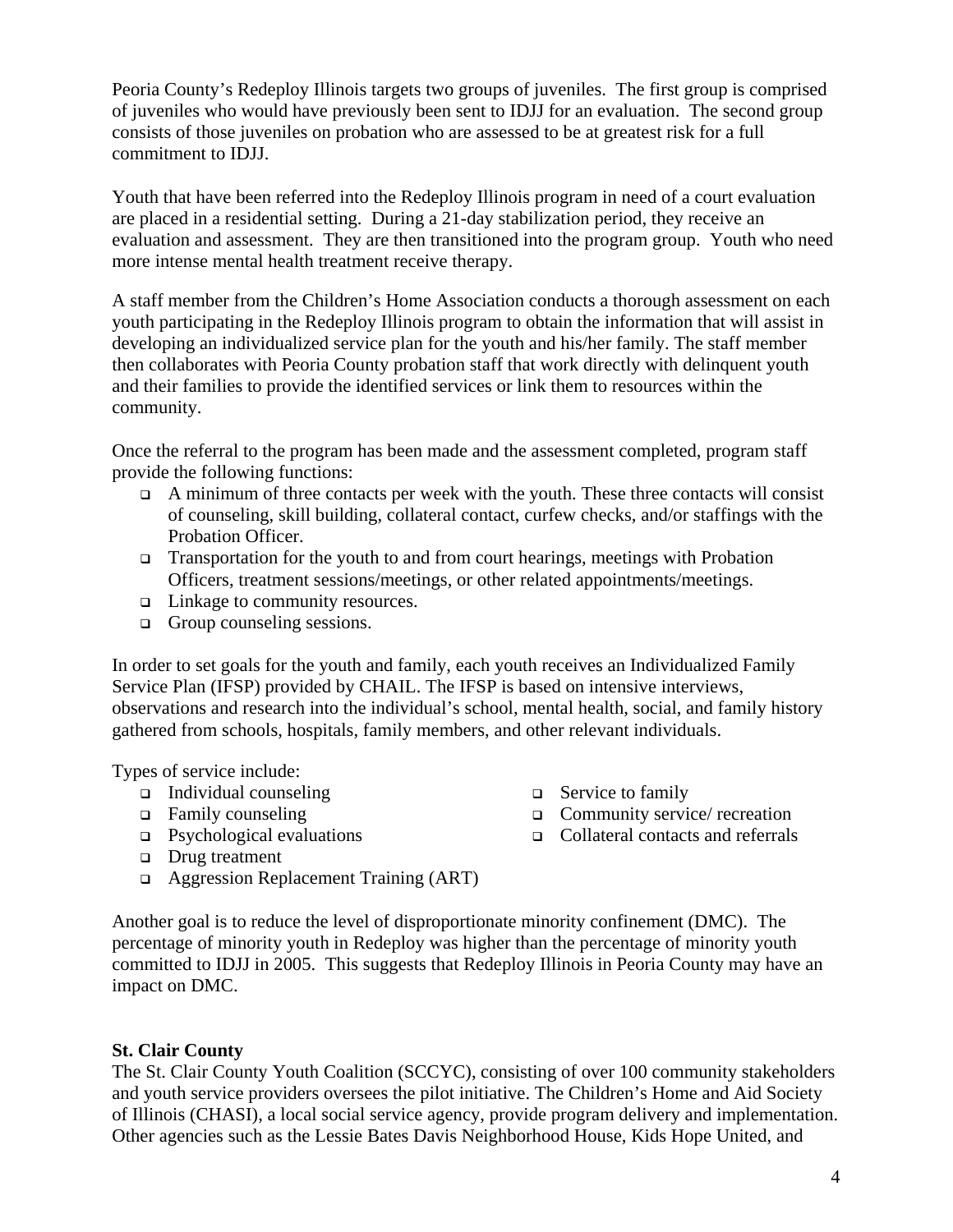Peoria County's Redeploy Illinois targets two groups of juveniles. The first group is comprised of juveniles who would have previously been sent to IDJJ for an evaluation. The second group consists of those juveniles on probation who are assessed to be at greatest risk for a full commitment to IDJJ.

Youth that have been referred into the Redeploy Illinois program in need of a court evaluation are placed in a residential setting. During a 21-day stabilization period, they receive an evaluation and assessment. They are then transitioned into the program group. Youth who need more intense mental health treatment receive therapy.

A staff member from the Children's Home Association conducts a thorough assessment on each youth participating in the Redeploy Illinois program to obtain the information that will assist in developing an individualized service plan for the youth and his/her family. The staff member then collaborates with Peoria County probation staff that work directly with delinquent youth and their families to provide the identified services or link them to resources within the community.

Once the referral to the program has been made and the assessment completed, program staff provide the following functions:

- $\Box$  A minimum of three contacts per week with the youth. These three contacts will consist of counseling, skill building, collateral contact, curfew checks, and/or staffings with the Probation Officer.
- $\Box$  Transportation for the youth to and from court hearings, meetings with Probation Officers, treatment sessions/meetings, or other related appointments/meetings.
- □ Linkage to community resources.
- Group counseling sessions.

In order to set goals for the youth and family, each youth receives an Individualized Family Service Plan (IFSP) provided by CHAIL. The IFSP is based on intensive interviews, observations and research into the individual's school, mental health, social, and family history gathered from schools, hospitals, family members, and other relevant individuals.

Types of service include:

- $\Box$  Individual counseling
- □ Family counseling
- $\Box$  Psychological evaluations
- □ Drug treatment
- Aggression Replacement Training (ART)
- $\Box$  Service to family
- Community service/ recreation
- Collateral contacts and referrals

Another goal is to reduce the level of disproportionate minority confinement (DMC). The percentage of minority youth in Redeploy was higher than the percentage of minority youth committed to IDJJ in 2005. This suggests that Redeploy Illinois in Peoria County may have an impact on DMC.

### **St. Clair County**

The St. Clair County Youth Coalition (SCCYC), consisting of over 100 community stakeholders and youth service providers oversees the pilot initiative. The Children's Home and Aid Society of Illinois (CHASI), a local social service agency, provide program delivery and implementation. Other agencies such as the Lessie Bates Davis Neighborhood House, Kids Hope United, and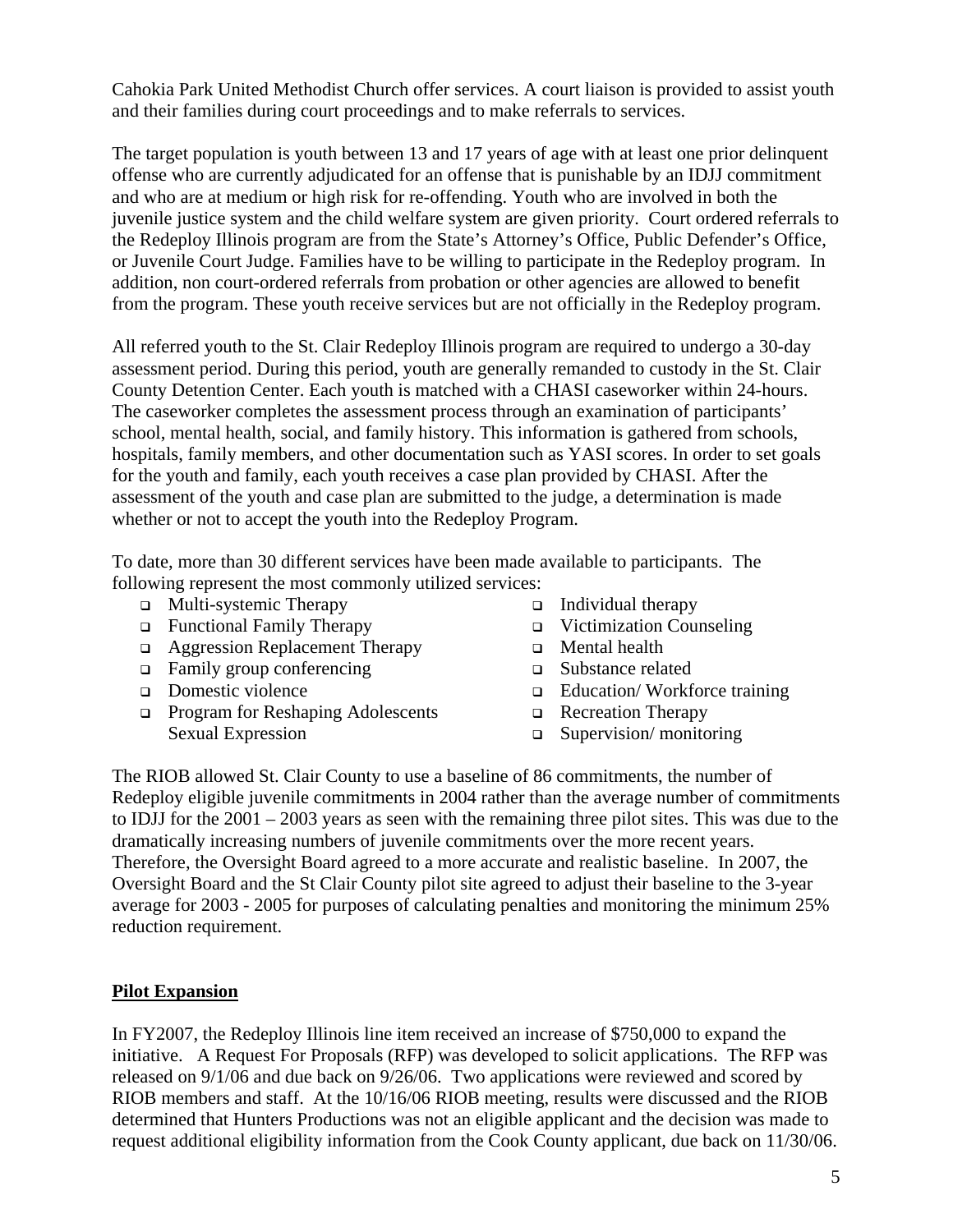Cahokia Park United Methodist Church offer services. A court liaison is provided to assist youth and their families during court proceedings and to make referrals to services.

The target population is youth between 13 and 17 years of age with at least one prior delinquent offense who are currently adjudicated for an offense that is punishable by an IDJJ commitment and who are at medium or high risk for re-offending. Youth who are involved in both the juvenile justice system and the child welfare system are given priority. Court ordered referrals to the Redeploy Illinois program are from the State's Attorney's Office, Public Defender's Office, or Juvenile Court Judge. Families have to be willing to participate in the Redeploy program. In addition, non court-ordered referrals from probation or other agencies are allowed to benefit from the program. These youth receive services but are not officially in the Redeploy program.

All referred youth to the St. Clair Redeploy Illinois program are required to undergo a 30-day assessment period. During this period, youth are generally remanded to custody in the St. Clair County Detention Center. Each youth is matched with a CHASI caseworker within 24-hours. The caseworker completes the assessment process through an examination of participants' school, mental health, social, and family history. This information is gathered from schools, hospitals, family members, and other documentation such as YASI scores. In order to set goals for the youth and family, each youth receives a case plan provided by CHASI. After the assessment of the youth and case plan are submitted to the judge, a determination is made whether or not to accept the youth into the Redeploy Program.

To date, more than 30 different services have been made available to participants. The following represent the most commonly utilized services:

- □ Multi-systemic Therapy
- Functional Family Therapy
- Aggression Replacement Therapy
- Family group conferencing
- Domestic violence
- **Program for Reshaping Adolescents** Sexual Expression
- $\Box$  Individual therapy
- □ Victimization Counseling
- **D** Mental health
- Substance related
- □ Education/Workforce training
- Recreation Therapy
- $\Box$  Supervision/ monitoring

The RIOB allowed St. Clair County to use a baseline of 86 commitments, the number of Redeploy eligible juvenile commitments in 2004 rather than the average number of commitments to IDJJ for the 2001 – 2003 years as seen with the remaining three pilot sites. This was due to the dramatically increasing numbers of juvenile commitments over the more recent years. Therefore, the Oversight Board agreed to a more accurate and realistic baseline. In 2007, the Oversight Board and the St Clair County pilot site agreed to adjust their baseline to the 3-year average for 2003 - 2005 for purposes of calculating penalties and monitoring the minimum 25% reduction requirement.

### **Pilot Expansion**

In FY2007, the Redeploy Illinois line item received an increase of \$750,000 to expand the initiative. A Request For Proposals (RFP) was developed to solicit applications. The RFP was released on 9/1/06 and due back on 9/26/06. Two applications were reviewed and scored by RIOB members and staff. At the 10/16/06 RIOB meeting, results were discussed and the RIOB determined that Hunters Productions was not an eligible applicant and the decision was made to request additional eligibility information from the Cook County applicant, due back on 11/30/06.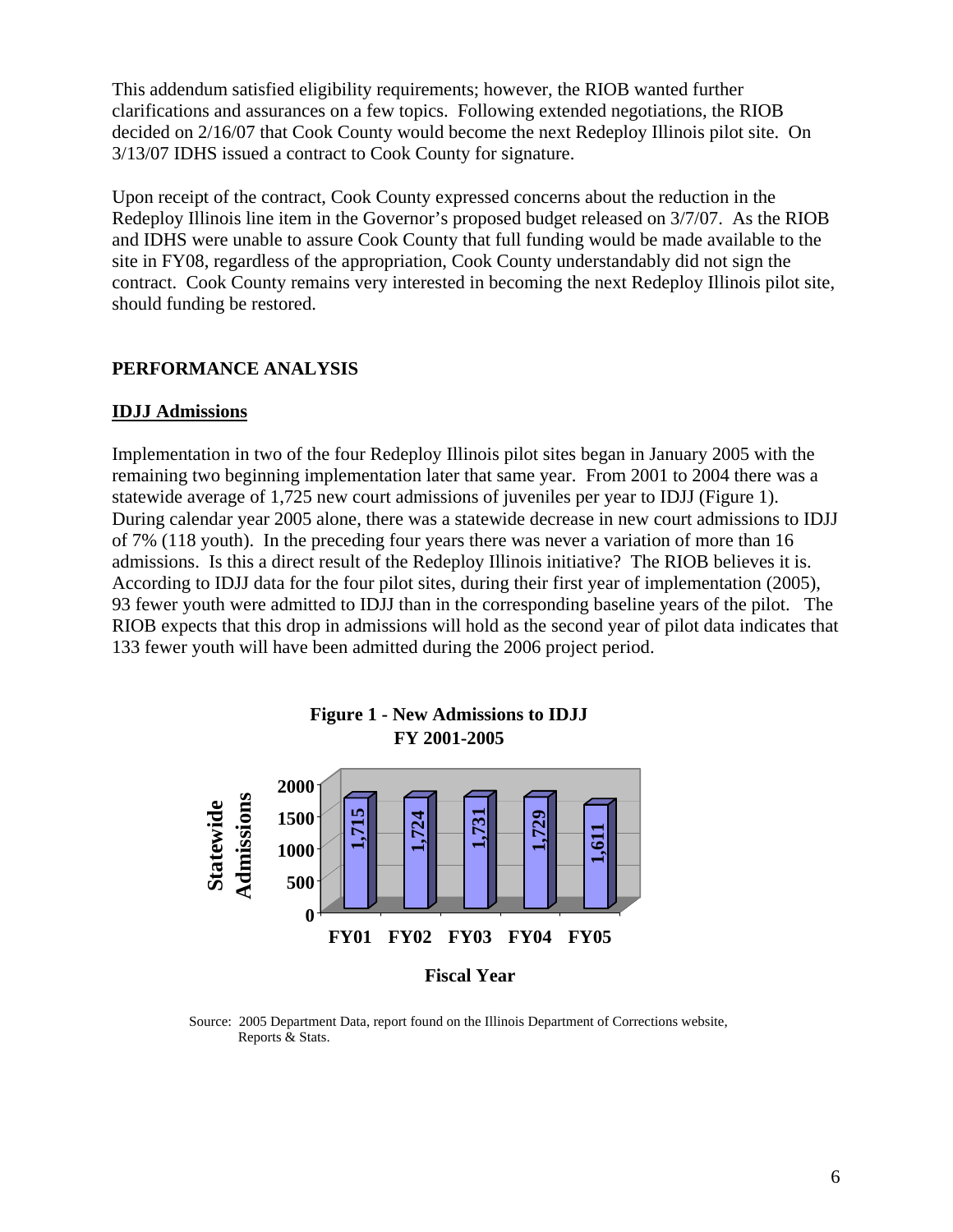This addendum satisfied eligibility requirements; however, the RIOB wanted further clarifications and assurances on a few topics. Following extended negotiations, the RIOB decided on 2/16/07 that Cook County would become the next Redeploy Illinois pilot site. On 3/13/07 IDHS issued a contract to Cook County for signature.

Upon receipt of the contract, Cook County expressed concerns about the reduction in the Redeploy Illinois line item in the Governor's proposed budget released on 3/7/07. As the RIOB and IDHS were unable to assure Cook County that full funding would be made available to the site in FY08, regardless of the appropriation, Cook County understandably did not sign the contract. Cook County remains very interested in becoming the next Redeploy Illinois pilot site, should funding be restored.

#### **PERFORMANCE ANALYSIS**

#### **IDJJ Admissions**

Implementation in two of the four Redeploy Illinois pilot sites began in January 2005 with the remaining two beginning implementation later that same year. From 2001 to 2004 there was a statewide average of 1,725 new court admissions of juveniles per year to IDJJ (Figure 1). During calendar year 2005 alone, there was a statewide decrease in new court admissions to IDJJ of 7% (118 youth). In the preceding four years there was never a variation of more than 16 admissions. Is this a direct result of the Redeploy Illinois initiative? The RIOB believes it is. According to IDJJ data for the four pilot sites, during their first year of implementation (2005), 93 fewer youth were admitted to IDJJ than in the corresponding baseline years of the pilot. The RIOB expects that this drop in admissions will hold as the second year of pilot data indicates that 133 fewer youth will have been admitted during the 2006 project period.



 Source: 2005 Department Data, report found on the Illinois Department of Corrections website, Reports & Stats.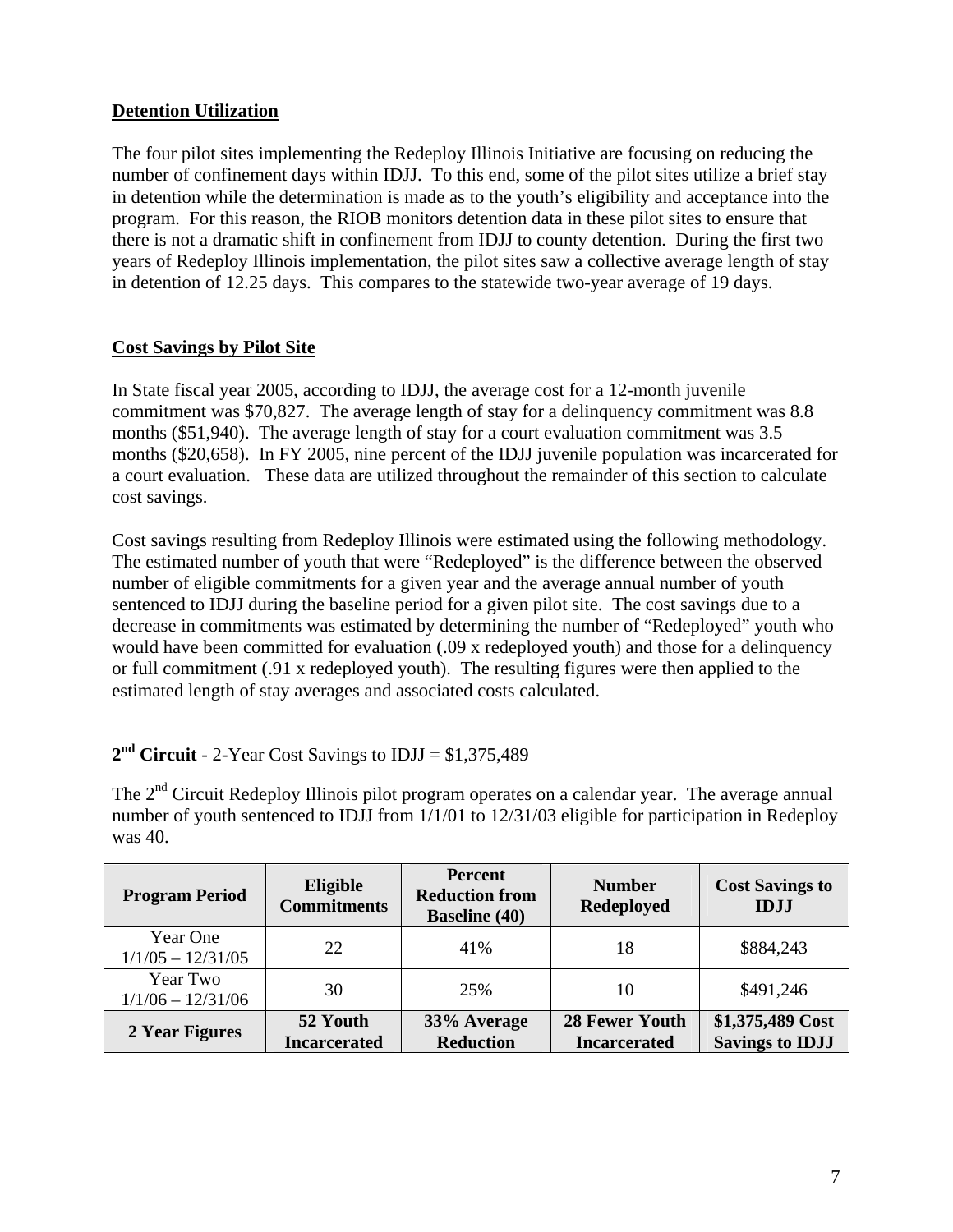# **Detention Utilization**

The four pilot sites implementing the Redeploy Illinois Initiative are focusing on reducing the number of confinement days within IDJJ. To this end, some of the pilot sites utilize a brief stay in detention while the determination is made as to the youth's eligibility and acceptance into the program. For this reason, the RIOB monitors detention data in these pilot sites to ensure that there is not a dramatic shift in confinement from IDJJ to county detention. During the first two years of Redeploy Illinois implementation, the pilot sites saw a collective average length of stay in detention of 12.25 days. This compares to the statewide two-year average of 19 days.

### **Cost Savings by Pilot Site**

In State fiscal year 2005, according to IDJJ, the average cost for a 12-month juvenile commitment was \$70,827. The average length of stay for a delinquency commitment was 8.8 months (\$51,940). The average length of stay for a court evaluation commitment was 3.5 months (\$20,658). In FY 2005, nine percent of the IDJJ juvenile population was incarcerated for a court evaluation. These data are utilized throughout the remainder of this section to calculate cost savings.

Cost savings resulting from Redeploy Illinois were estimated using the following methodology. The estimated number of youth that were "Redeployed" is the difference between the observed number of eligible commitments for a given year and the average annual number of youth sentenced to IDJJ during the baseline period for a given pilot site. The cost savings due to a decrease in commitments was estimated by determining the number of "Redeployed" youth who would have been committed for evaluation (.09 x redeployed youth) and those for a delinquency or full commitment (.91 x redeployed youth). The resulting figures were then applied to the estimated length of stay averages and associated costs calculated.

### **2nd Circuit** - 2-Year Cost Savings to IDJJ = \$1,375,489

The  $2<sup>nd</sup>$  Circuit Redeploy Illinois pilot program operates on a calendar year. The average annual number of youth sentenced to IDJJ from  $1/1/01$  to  $12/31/03$  eligible for participation in Redeploy was 40.

| <b>Program Period</b>           | <b>Eligible</b><br><b>Commitments</b> | Percent<br><b>Reduction from</b><br><b>Baseline</b> (40) | <b>Number</b><br><b>Redeployed</b>           | <b>Cost Savings to</b><br><b>IDJJ</b>      |
|---------------------------------|---------------------------------------|----------------------------------------------------------|----------------------------------------------|--------------------------------------------|
| Year One<br>$1/1/05 - 12/31/05$ | 22                                    | 41%                                                      | 18                                           | \$884,243                                  |
| Year Two<br>$1/1/06 - 12/31/06$ | 30                                    | 25%                                                      | 10                                           | \$491,246                                  |
| 2 Year Figures                  | 52 Youth<br><b>Incarcerated</b>       | 33% Average<br><b>Reduction</b>                          | <b>28 Fewer Youth</b><br><b>Incarcerated</b> | \$1,375,489 Cost<br><b>Savings to IDJJ</b> |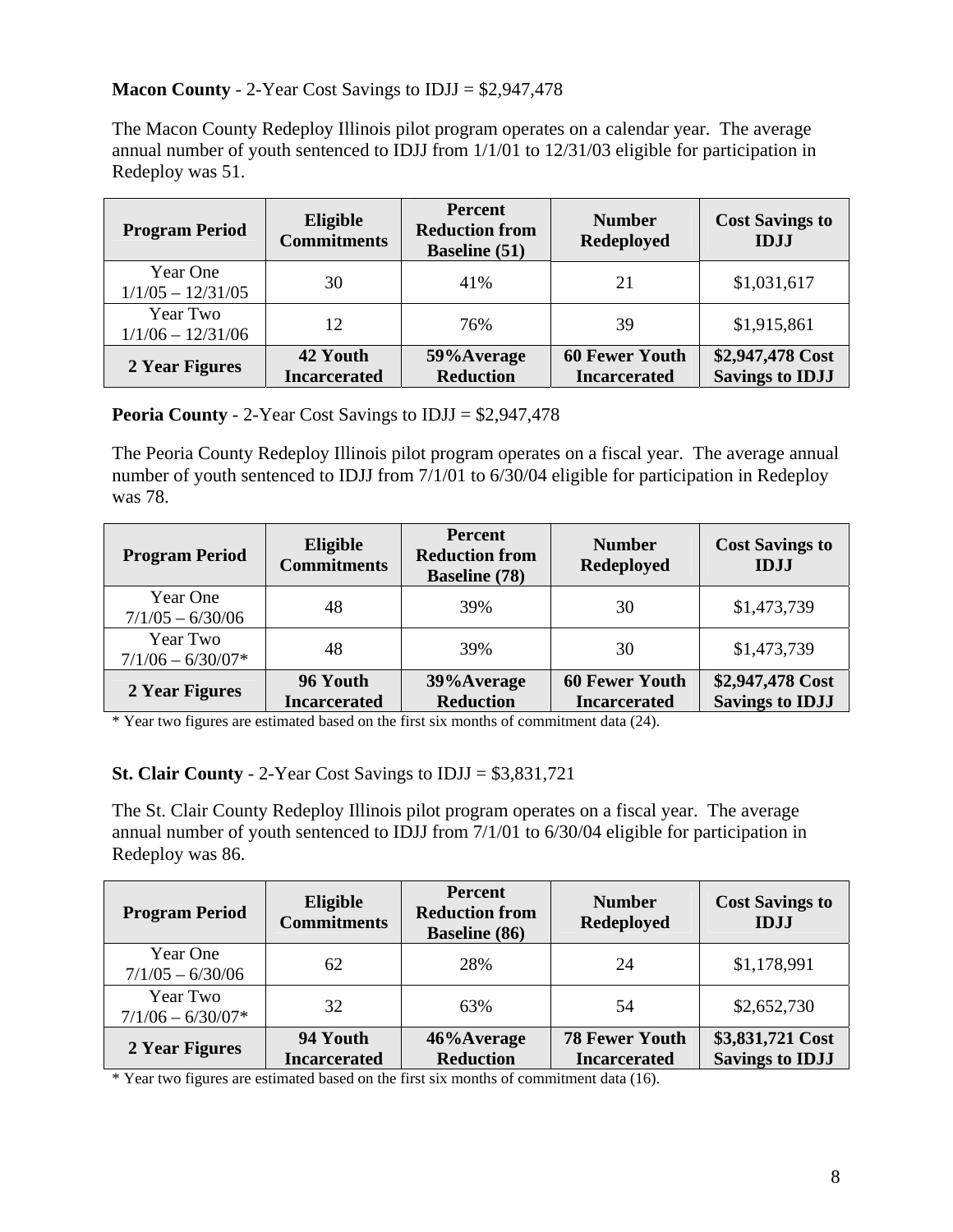# **Macon County** - 2-Year Cost Savings to IDJJ = \$2,947,478

The Macon County Redeploy Illinois pilot program operates on a calendar year. The average annual number of youth sentenced to IDJJ from 1/1/01 to 12/31/03 eligible for participation in Redeploy was 51.

| <b>Program Period</b>           | Eligible<br><b>Commitments</b>  | <b>Percent</b><br><b>Reduction from</b><br><b>Baseline</b> (51) | <b>Number</b><br><b>Redeployed</b>           | <b>Cost Savings to</b><br><b>IDJJ</b>      |
|---------------------------------|---------------------------------|-----------------------------------------------------------------|----------------------------------------------|--------------------------------------------|
| Year One<br>$1/1/05 - 12/31/05$ | 30                              | 41%                                                             | 21                                           | \$1,031,617                                |
| Year Two<br>$1/1/06 - 12/31/06$ | 12                              | 76%                                                             | 39                                           | \$1,915,861                                |
| 2 Year Figures                  | 42 Youth<br><b>Incarcerated</b> | 59% Average<br><b>Reduction</b>                                 | <b>60 Fewer Youth</b><br><b>Incarcerated</b> | \$2,947,478 Cost<br><b>Savings to IDJJ</b> |

**Peoria County** - 2-Year Cost Savings to IDJJ = \$2,947,478

The Peoria County Redeploy Illinois pilot program operates on a fiscal year. The average annual number of youth sentenced to IDJJ from 7/1/01 to 6/30/04 eligible for participation in Redeploy was 78.

| <b>Program Period</b>           | Eligible<br><b>Commitments</b>  | <b>Percent</b><br><b>Reduction from</b><br><b>Baseline</b> (78) | <b>Number</b><br><b>Redeployed</b>           | <b>Cost Savings to</b><br><b>IDJJ</b>      |
|---------------------------------|---------------------------------|-----------------------------------------------------------------|----------------------------------------------|--------------------------------------------|
| Year One<br>$7/1/05 - 6/30/06$  | 48                              | 39%                                                             | 30                                           | \$1,473,739                                |
| Year Two<br>$7/1/06 - 6/30/07*$ | 48                              | 39%                                                             | 30                                           | \$1,473,739                                |
| 2 Year Figures                  | 96 Youth<br><b>Incarcerated</b> | 39% Average<br><b>Reduction</b>                                 | <b>60 Fewer Youth</b><br><b>Incarcerated</b> | \$2,947,478 Cost<br><b>Savings to IDJJ</b> |

\* Year two figures are estimated based on the first six months of commitment data (24).

### **St. Clair County** - 2-Year Cost Savings to IDJJ = \$3,831,721

The St. Clair County Redeploy Illinois pilot program operates on a fiscal year. The average annual number of youth sentenced to IDJJ from 7/1/01 to 6/30/04 eligible for participation in Redeploy was 86.

| <b>Program Period</b>           | Eligible<br><b>Commitments</b>  | <b>Percent</b><br><b>Reduction from</b><br><b>Baseline</b> (86) | <b>Number</b><br><b>Redeployed</b>           | <b>Cost Savings to</b><br><b>IDJJ</b>      |
|---------------------------------|---------------------------------|-----------------------------------------------------------------|----------------------------------------------|--------------------------------------------|
| Year One<br>$7/1/05 - 6/30/06$  | 62                              | 28%                                                             | 24                                           | \$1,178,991                                |
| Year Two<br>$7/1/06 - 6/30/07*$ | 32                              | 63%                                                             | 54                                           | \$2,652,730                                |
| 2 Year Figures                  | 94 Youth<br><b>Incarcerated</b> | 46%Average<br><b>Reduction</b>                                  | <b>78 Fewer Youth</b><br><b>Incarcerated</b> | \$3,831,721 Cost<br><b>Savings to IDJJ</b> |

\* Year two figures are estimated based on the first six months of commitment data (16).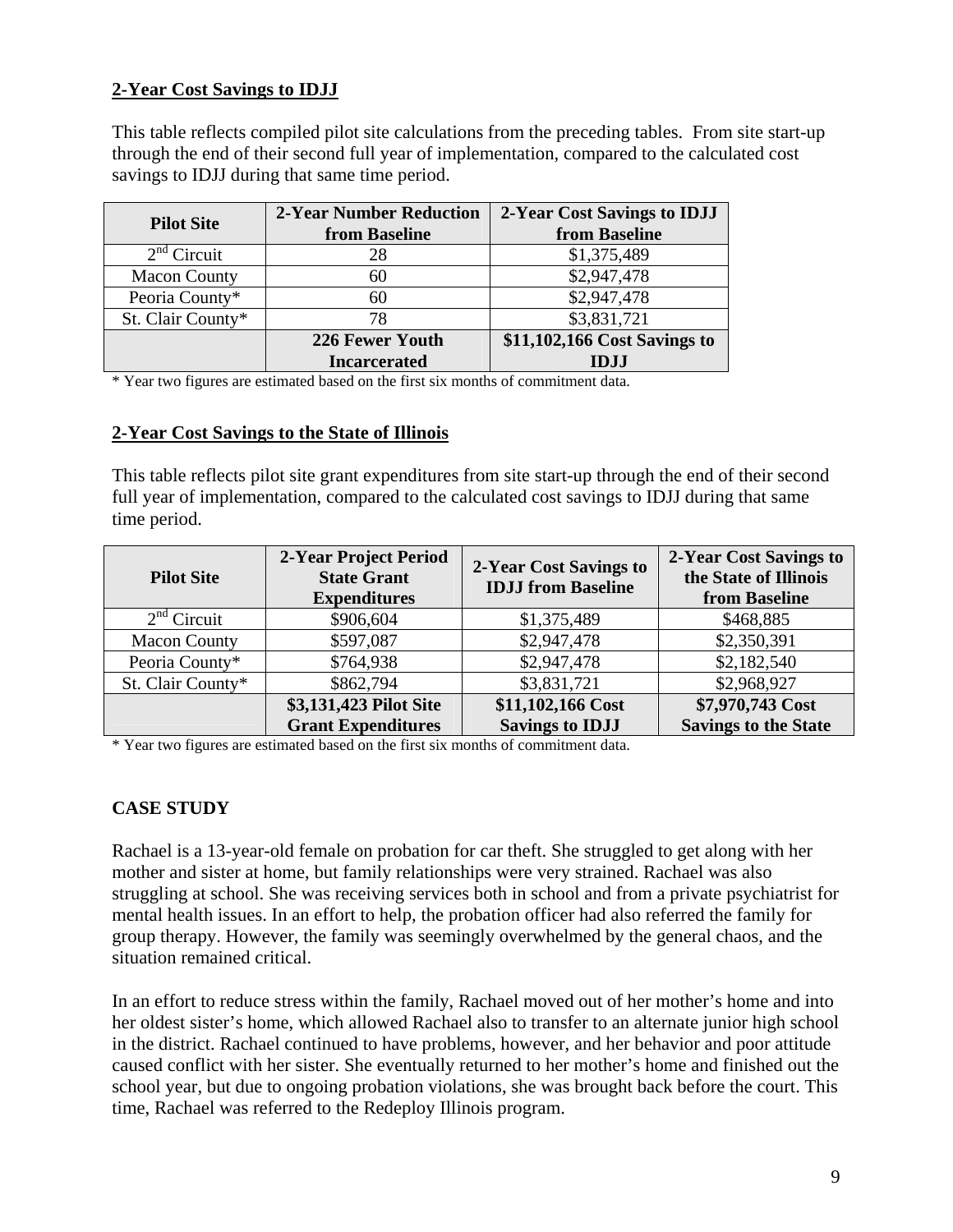# **2-Year Cost Savings to IDJJ**

This table reflects compiled pilot site calculations from the preceding tables. From site start-up through the end of their second full year of implementation, compared to the calculated cost savings to IDJJ during that same time period.

| <b>Pilot Site</b>   | <b>2-Year Number Reduction</b><br>from Baseline | 2-Year Cost Savings to IDJJ<br>from Baseline |
|---------------------|-------------------------------------------------|----------------------------------------------|
| $2nd$ Circuit       | 28                                              | \$1,375,489                                  |
| <b>Macon County</b> | 60                                              | \$2,947,478                                  |
| Peoria County*      | 60                                              | \$2,947,478                                  |
| St. Clair County*   | 78                                              | \$3,831,721                                  |
|                     | 226 Fewer Youth                                 | \$11,102,166 Cost Savings to                 |
|                     | <b>Incarcerated</b>                             | <b>IDJJ</b>                                  |

\* Year two figures are estimated based on the first six months of commitment data.

#### **2-Year Cost Savings to the State of Illinois**

This table reflects pilot site grant expenditures from site start-up through the end of their second full year of implementation, compared to the calculated cost savings to IDJJ during that same time period.

| <b>Pilot Site</b>   | 2-Year Project Period<br><b>State Grant</b><br><b>Expenditures</b> | 2-Year Cost Savings to<br><b>IDJJ</b> from Baseline | 2-Year Cost Savings to<br>the State of Illinois<br>from Baseline |
|---------------------|--------------------------------------------------------------------|-----------------------------------------------------|------------------------------------------------------------------|
| $2nd$ Circuit       | \$906,604                                                          | \$1,375,489                                         | \$468,885                                                        |
| <b>Macon County</b> | \$597,087                                                          | \$2,947,478                                         | \$2,350,391                                                      |
| Peoria County*      | \$764,938                                                          | \$2,947,478                                         | \$2,182,540                                                      |
| St. Clair County*   | \$862,794                                                          | \$3,831,721                                         | \$2,968,927                                                      |
|                     | \$3,131,423 Pilot Site                                             | \$11,102,166 Cost                                   | \$7,970,743 Cost                                                 |
|                     | <b>Grant Expenditures</b>                                          | <b>Savings to IDJJ</b>                              | <b>Savings to the State</b>                                      |

\* Year two figures are estimated based on the first six months of commitment data.

### **CASE STUDY**

Rachael is a 13-year-old female on probation for car theft. She struggled to get along with her mother and sister at home, but family relationships were very strained. Rachael was also struggling at school. She was receiving services both in school and from a private psychiatrist for mental health issues. In an effort to help, the probation officer had also referred the family for group therapy. However, the family was seemingly overwhelmed by the general chaos, and the situation remained critical.

In an effort to reduce stress within the family, Rachael moved out of her mother's home and into her oldest sister's home, which allowed Rachael also to transfer to an alternate junior high school in the district. Rachael continued to have problems, however, and her behavior and poor attitude caused conflict with her sister. She eventually returned to her mother's home and finished out the school year, but due to ongoing probation violations, she was brought back before the court. This time, Rachael was referred to the Redeploy Illinois program.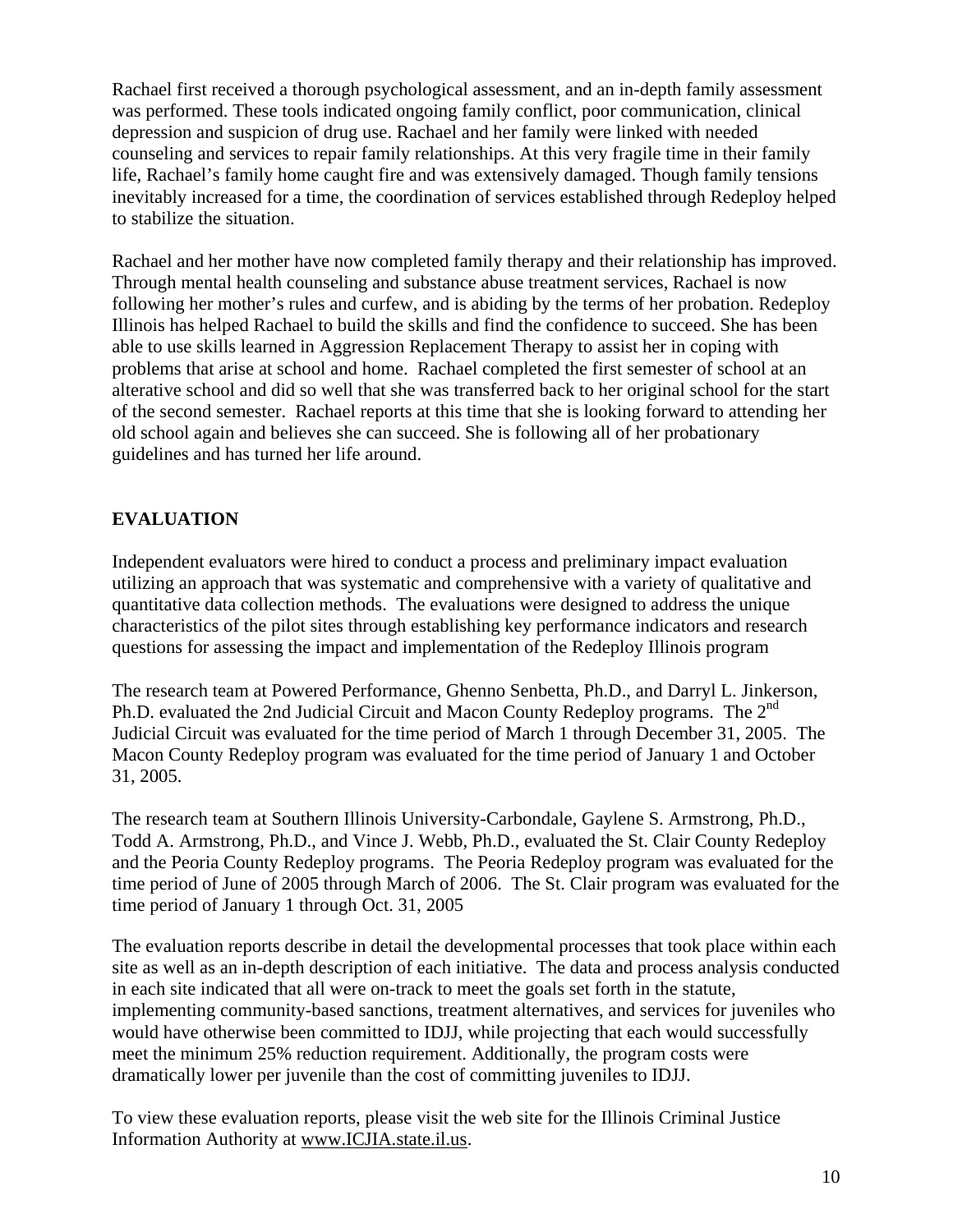Rachael first received a thorough psychological assessment, and an in-depth family assessment was performed. These tools indicated ongoing family conflict, poor communication, clinical depression and suspicion of drug use. Rachael and her family were linked with needed counseling and services to repair family relationships. At this very fragile time in their family life, Rachael's family home caught fire and was extensively damaged. Though family tensions inevitably increased for a time, the coordination of services established through Redeploy helped to stabilize the situation.

Rachael and her mother have now completed family therapy and their relationship has improved. Through mental health counseling and substance abuse treatment services, Rachael is now following her mother's rules and curfew, and is abiding by the terms of her probation. Redeploy Illinois has helped Rachael to build the skills and find the confidence to succeed. She has been able to use skills learned in Aggression Replacement Therapy to assist her in coping with problems that arise at school and home. Rachael completed the first semester of school at an alterative school and did so well that she was transferred back to her original school for the start of the second semester. Rachael reports at this time that she is looking forward to attending her old school again and believes she can succeed. She is following all of her probationary guidelines and has turned her life around.

# **EVALUATION**

Independent evaluators were hired to conduct a process and preliminary impact evaluation utilizing an approach that was systematic and comprehensive with a variety of qualitative and quantitative data collection methods. The evaluations were designed to address the unique characteristics of the pilot sites through establishing key performance indicators and research questions for assessing the impact and implementation of the Redeploy Illinois program

The research team at Powered Performance, Ghenno Senbetta, Ph.D., and Darryl L. Jinkerson, Ph.D. evaluated the 2nd Judicial Circuit and Macon County Redeploy programs. The  $2^{nd}$ Judicial Circuit was evaluated for the time period of March 1 through December 31, 2005. The Macon County Redeploy program was evaluated for the time period of January 1 and October 31, 2005.

The research team at Southern Illinois University-Carbondale, Gaylene S. Armstrong, Ph.D., Todd A. Armstrong, Ph.D., and Vince J. Webb, Ph.D., evaluated the St. Clair County Redeploy and the Peoria County Redeploy programs. The Peoria Redeploy program was evaluated for the time period of June of 2005 through March of 2006. The St. Clair program was evaluated for the time period of January 1 through Oct. 31, 2005

The evaluation reports describe in detail the developmental processes that took place within each site as well as an in-depth description of each initiative. The data and process analysis conducted in each site indicated that all were on-track to meet the goals set forth in the statute, implementing community-based sanctions, treatment alternatives, and services for juveniles who would have otherwise been committed to IDJJ, while projecting that each would successfully meet the minimum 25% reduction requirement. Additionally, the program costs were dramatically lower per juvenile than the cost of committing juveniles to IDJJ.

To view these evaluation reports, please visit the web site for the Illinois Criminal Justice Information Authority at www.ICJIA.state.il.us.